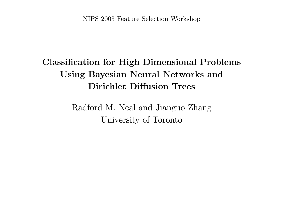### Classification for High Dimensional Problems Using Bayesian Neural Networks and Dirichlet Diffusion Trees

Radford M. Neal and Jianguo Zhang University of Toronto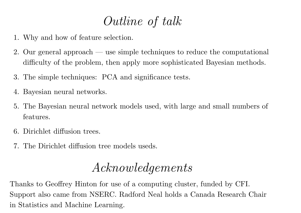### Outline of talk

- 1. Why and how of feature selection.
- 2. Our general approach use simple techniques to reduce the computational difficulty of the problem, then apply more sophisticated Bayesian methods.
- 3. The simple techniques: PCA and significance tests.
- 4. Bayesian neural networks.
- 5. The Bayesian neural network models used, with large and small numbers of features.
- 6. Dirichlet diffusion trees.
- 7. The Dirichlet diffusion tree models useds.

### Acknowledgements

Thanks to Geoffrey Hinton for use of <sup>a</sup> computing cluster, funded by CFI. Support also came from NSERC. Radford Neal holds <sup>a</sup> Canada Research Chair in Statistics and Machine Learning.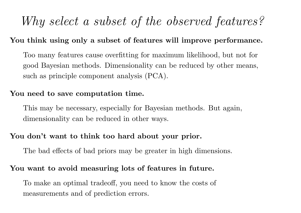### Why select <sup>a</sup> subset of the observed features?

#### You think using only <sup>a</sup> subset of features will improve performance.

Too many features cause overfitting for maximum likelihood, but not for good Bayesian methods. Dimensionality can be reduced by other means, such as principle component analysis (PCA).

#### You need to save computation time.

This may be necessary, especially for Bayesian methods. But again, dimensionality can be reduced in other ways.

#### You don't want to think too hard about your prior.

The bad effects of bad priors may be greater in high dimensions.

#### You want to avoid measuring lots of features in future.

To make an optimal tradeoff, you need to know the costs of measurements and of prediction errors.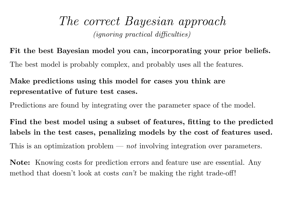The correct Bayesian approach (ignoring practical difficulties)

Fit the best Bayesian model you can, incorporating your prior beliefs. The best model is probably complex, and probably uses all the features.

#### Make predictions using this model for cases you think are representative of future test cases.

Predictions are found by integrating over the parameter space of the model.

Find the best model using <sup>a</sup> subset of features, fitting to the predicted labels in the test cases, penalizing models by the cost of features used. This is an optimization problem — *not* involving integration over parameters.

Note: Knowing costs for prediction errors and feature use are essential. Any method that doesn't look at costs *can't* be making the right trade-off!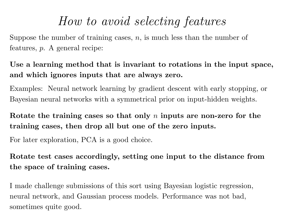### How to avoid selecting features

Suppose the number of training cases,  $n$ , is much less than the number of features, <sup>p</sup>. A general recipe:

#### Use <sup>a</sup> learning method that is invariant to rotations in the input space, and which ignores inputs that are always zero.

Examples: Neural network learning by gradient descent with early stopping, or Bayesian neural networks with <sup>a</sup> symmetrical prior on input-hidden weights.

Rotate the training cases so that only  $n$  inputs are non-zero for the training cases, then drop all but one of the zero inputs.

For later exploration, PCA is <sup>a</sup> good choice.

Rotate test cases accordingly, setting one input to the distance from the space of training cases.

I made challenge submissions of this sort using Bayesian logistic regression, neural network, and Gaussian process models. Performance was not bad, sometimes quite good.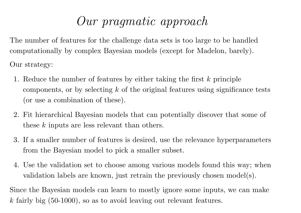## Our pragmatic approach

The number of features for the challenge data sets is too large to be handled computationally by complex Bayesian models (except for Madelon, barely).

Our strategy:

- 1. Reduce the number of features by either taking the first  $k$  principle components, or by selecting  $k$  of the original features using significance tests (or use <sup>a</sup> combination of these).
- 2. Fit hierarchical Bayesian models that can potentially discover that some of these k inputs are less relevant than others.
- 3. If <sup>a</sup> smaller number of features is desired, use the relevance hyperparameters from the Bayesian model to <sup>p</sup>ick <sup>a</sup> smaller subset.
- 4. Use the validation set to choose among various models found this way; when validation labels are known, just retrain the previously chosen model(s).

Since the Bayesian models can learn to mostly ignore some inputs, we can make  $k$  fairly big (50-1000), so as to avoid leaving out relevant features.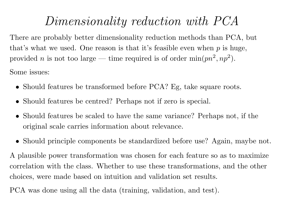## Dimensionality reduction with PCA

There are probably better dimensionality reduction methods than PCA, but that's what we used. One reason is that it's feasible even when  $p$  is huge, provided n is not too large — time required is of order  $\min(pn^2, np^2)$ . Some issues:

- Should features be transformed before PCA? Eg, take square roots.
- Should features be centred? Perhaps not if zero is special.
- Should features be scaled to have the same variance? Perhaps not, if the original scale carries information about relevance.
- Should principle components be standardized before use? Again, maybe not.

A <sup>p</sup>lausible power transformation was chosen for each feature so as to maximize correlation with the class. Whether to use these transformations, and the other choices, were made based on intuition and validation set results.

PCA was done using all the data (training, validation, and test).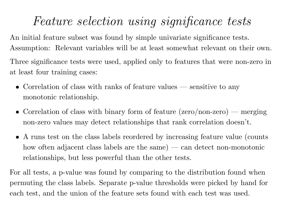### Feature selection using significance tests

An initial feature subset was found by simple univariate significance tests. Assumption: Relevant variables will be at least somewhat relevant on their own. Three significance tests were used, applied only to features that were non-zero in at least four training cases:

- Correlation of class with ranks of feature values sensitive to any monotonic relationship.
- Correlation of class with binary form of feature (zero/non-zero) merging non-zero values may detect relationships that rank correlation doesn't.
- A runs test on the class labels reordered by increasing feature value (counts how often adjacent class labels are the same) — can detect non-monotonic relationships, but less powerful than the other tests.

For all tests, <sup>a</sup> p-value was found by comparing to the distribution found when permuting the class labels. Separate p-value thresholds were <sup>p</sup>icked by hand for each test, and the union of the feature sets found with each test was used.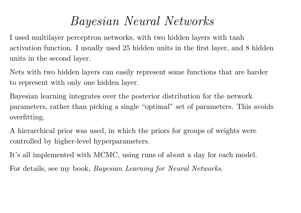### Bayesian Neural Networks

I used multilayer perceptron networks, with two hidden layers with tanh activation function. I usually used 25 hidden units in the first layer, and 8 hidden units in the second layer.

Nets with two hidden layers can easily represent some functions that are harder to represent with only one hidden layer.

Bayesian learning integrates over the posterior distribution for the network parameters, rather than <sup>p</sup>icking <sup>a</sup> single "optimal" set of parameters. This avoids overfitting.

A hierarchical prior was used, in which the priors for groups of weights were controlled by higher-level hyperparameters.

It's all implemented with MCMC, using runs of about <sup>a</sup> day for each model.

For details, see my book, Bayesian Learning for Neural Networks.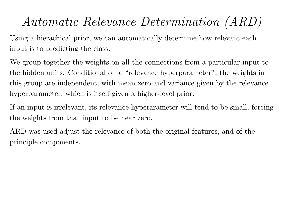# Automatic Relevance Determination (ARD)

Using <sup>a</sup> hierachical prior, we can automatically determine how relevant each input is to predicting the class.

We group together the weights on all the connections from <sup>a</sup> particular input to the hidden units. Conditional on <sup>a</sup> "relevance hyperparameter", the weights in this group are independent, with mean zero and variance given by the relevance hyperparameter, which is itself given <sup>a</sup> higher-level prior.

If an input is irrelevant, its relevance hyperarameter will tend to be small, forcing the weights from that input to be near zero.

ARD was used adjust the relevance of both the original features, and of the principle components.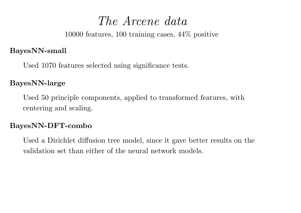### The Arcene data

10000 features, 100 training cases, 44% positive

#### BayesNN-small

Used 1070 features selected using significance tests.

#### BayesNN-large

Used 50 principle components, applied to transformed features, with centering and scaling.

#### BayesNN-DFT-combo

Used <sup>a</sup> Dirichlet diffusion tree model, since it gave better results on the validation set than either of the neural network models.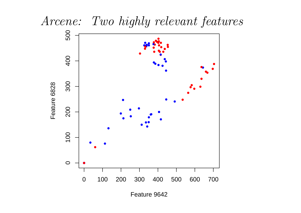Arcene: Two highly relevant features



Feature 9642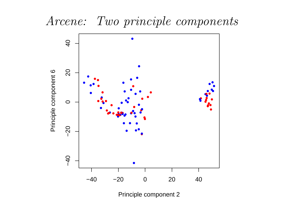Arcene: Two principle components

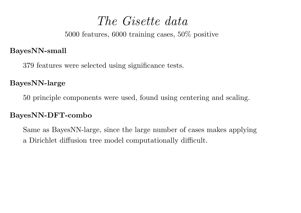### The Gisette data

5000 features, 6000 training cases, 50% positive

#### BayesNN-small

379 features were selected using significance tests.

#### BayesNN-large

50 principle components were used, found using centering and scaling.

#### BayesNN-DFT-combo

Same as BayesNN-large, since the large number of cases makes applying <sup>a</sup> Dirichlet diffusion tree model computationally difficult.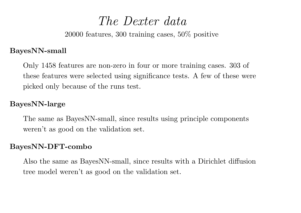### The Dexter data

20000 features, 300 training cases, 50% positive

#### BayesNN-small

Only 1458 features are non-zero in four or more training cases. 303 of these features were selected using significance tests. A few of these were <sup>p</sup>icked only because of the runs test.

#### BayesNN-large

The same as BayesNN-small, since results using principle components weren't as good on the validation set.

#### BayesNN-DFT-combo

Also the same as BayesNN-small, since results with <sup>a</sup> Dirichlet diffusion tree model weren't as good on the validation set.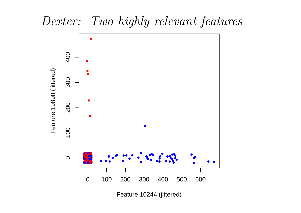

Dexter: Two highly relevant features

Feature 10244 (jittered)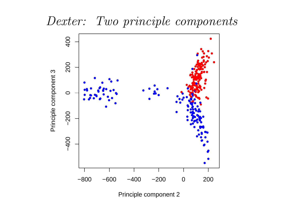### Dexter: Two principle components



Principle component 2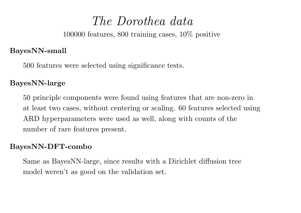## The Dorothea data

100000 features, 800 training cases, 10% positive

#### BayesNN-small

500 features were selected using significance tests.

#### BayesNN-large

50 principle components were found using features that are non-zero in at least two cases, without centering or scaling. 60 features selected using ARD hyperparameters were used as well, along with counts of the number of rare features present.

#### BayesNN-DFT-combo

Same as BayesNN-large, since results with <sup>a</sup> Dirichlet diffusion tree model weren't as good on the validation set.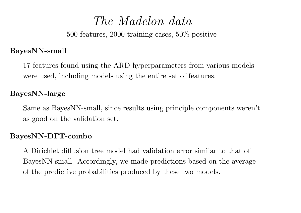## The Madelon data

500 features, 2000 training cases, 50% positive

#### BayesNN-small

17 features found using the ARD hyperparameters from various models were used, including models using the entire set of features.

#### BayesNN-large

Same as BayesNN-small, since results using principle components weren't as good on the validation set.

#### BayesNN-DFT-combo

A Dirichlet diffusion tree model had validation error similar to that of BayesNN-small. Accordingly, we made predictions based on the average of the predictive probabilities produced by these two models.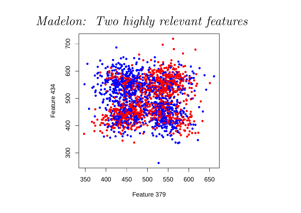Madelon: Two highly relevant features



Feature 379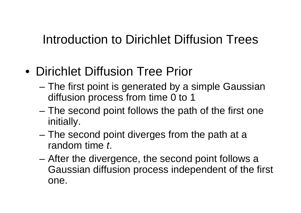## Introduction to Dirichlet Diffusion Trees

- •Dirichlet Diffusion Tree Prior
	- and the state of the state The first point is generated by a simple Gaussian diffusion process from time 0 to 1
	- – The second point follows the path of the first one initially.
	- and the state of the state The second point diverges from the path at a random time *t*.
	- After the divergence, the second point follows a Gaussian diffusion process independent of the first one.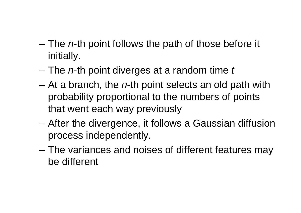- and the state of the state The *n*-th point follows the path of those before it initially.
- and the state of the state The *n*-th point diverges at a random time *t*
- and the state of the state At a branch, the *n*-th point selects an old path with probability proportional to the numbers of points that went each way previously
- and the state of the state After the divergence, it follows a Gaussian diffusion process independently.
- – The variances and noises of different features may be different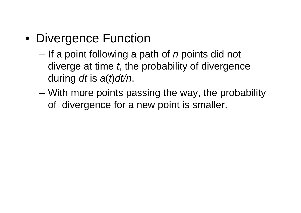- Divergence Function
	- –– If a point following a path of *n* points did not diverge at time *t*, the probability of divergence during *dt* is *a*(*t*)*dt/n*.
	- With more points passing the way, the probability of divergence for a new point is smaller.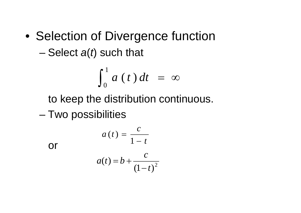• Selection of Divergence function

– $-$  Select  $a(t)$  such that

$$
\int_0^1 a(t) dt = \infty
$$

to keep the distribution continuous.

and the state of the – Two possibilities

or

*t* $a(t) = \frac{c}{t}$  $(t)=\frac{1}{1}$ 

$$
a(t) = b + \frac{c}{(1-t)^2}
$$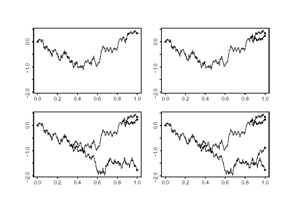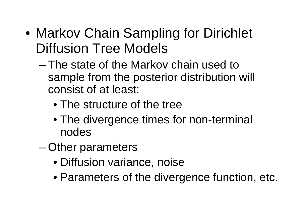- $\bullet$  Markov Chain Sampling for Dirichlet Diffusion Tree Models
	- – The state of the Markov chain used to sample from the posterior distribution will consist of at least:
		- The structure of the tree
		- The divergence times for non-terminal nodes
	- and the state of the Other parameters
		- Diffusion variance, noise
		- Parameters of the divergence function, etc.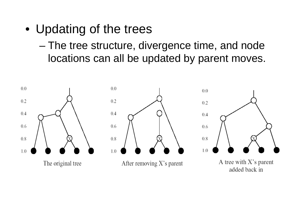- Updating of the trees
	- and the state of the The tree structure, divergence time, and node locations can all be updated by parent moves.

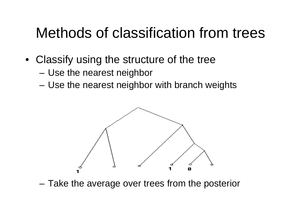# Methods of classification from trees

- Classify using the structure of the tree
	- Use the nearest neighbor
	- Use the nearest neighbor with branch weights



– Take the average over trees from the posterior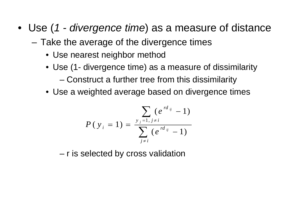- Use (*1 - divergence time*) as a measure of distance
	- – $-$  Take the average of the divergence times
		- Use nearest neighbor method
		- Use (1- divergence time) as a measure of dissimilarity –Construct a further tree from this dissimilarity
		- Use a weighted average based on divergence times

$$
P(y_i = 1) = \frac{\sum_{y_j=1, j \neq i} (e^{rd_{ij}} - 1)}{\sum_{j \neq i} (e^{rd_{ij}} - 1)}
$$

–– r is selected by cross validation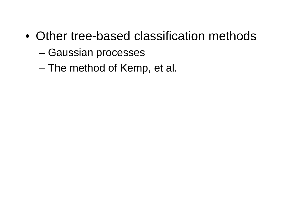- Other tree-based classification methods
	- –– Gaussian processes
	- **Lating Community** – The method of Kemp, et al.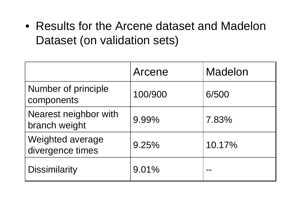• Results for the Arcene dataset and Madelon Dataset (on validation sets)

|                                        | Arcene  | <b>Madelon</b> |
|----------------------------------------|---------|----------------|
| Number of principle<br>components      | 100/900 | 6/500          |
| Nearest neighbor with<br>branch weight | 9.99%   | 7.83%          |
| Weighted average<br>divergence times   | 9.25%   | 10.17%         |
| <b>Dissimilarity</b>                   | 9.01%   | a a shekara    |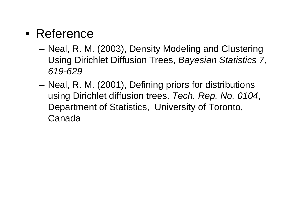## • Reference

- –– Neal, R. M. (2003), Density Modeling and Clustering Using Dirichlet Diffusion Trees, *Bayesian Statistics 7, 619-629*
- –– Neal, R. M. (2001), Defining priors for distributions using Dirichlet diffusion trees. *Tech. Rep. No. 0104*, Department of Statistics, University of Toronto, Canada